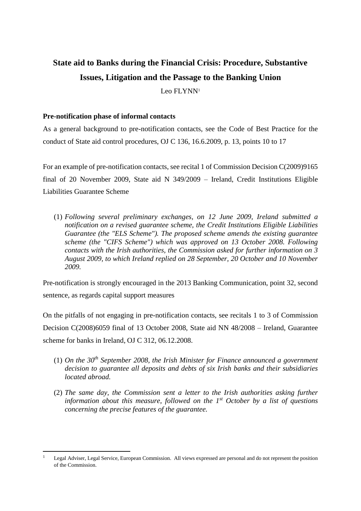# **State aid to Banks during the Financial Crisis: Procedure, Substantive Issues, Litigation and the Passage to the Banking Union**

Leo FLYNN<sup>1</sup>

# **Pre-notification phase of informal contacts**

**.** 

As a general background to pre-notification contacts, see the Code of Best Practice for the conduct of State aid control procedures, OJ C 136, 16.6.2009, p. 13, points 10 to 17

For an example of pre-notification contacts, see recital 1 of Commission Decision C(2009)9165 final of 20 November 2009, State aid N 349/2009 – Ireland, Credit Institutions Eligible Liabilities Guarantee Scheme

(1) *Following several preliminary exchanges, on 12 June 2009, Ireland submitted a notification on a revised guarantee scheme, the Credit Institutions Eligible Liabilities Guarantee (the "ELS Scheme"). The proposed scheme amends the existing guarantee scheme (the "CIFS Scheme") which was approved on 13 October 2008. Following contacts with the Irish authorities, the Commission asked for further information on 3 August 2009, to which Ireland replied on 28 September, 20 October and 10 November 2009.*

Pre-notification is strongly encouraged in the 2013 Banking Communication, point 32, second sentence, as regards capital support measures

On the pitfalls of not engaging in pre-notification contacts, see recitals 1 to 3 of Commission Decision C(2008)6059 final of 13 October 2008, State aid NN 48/2008 – Ireland, Guarantee scheme for banks in Ireland, OJ C 312, 06.12.2008.

- (1) *On the 30th September 2008, the Irish Minister for Finance announced a government decision to guarantee all deposits and debts of six Irish banks and their subsidiaries located abroad.*
- (2) *The same day, the Commission sent a letter to the Irish authorities asking further information about this measure, followed on the 1st October by a list of questions concerning the precise features of the guarantee.*

<sup>1</sup> Legal Adviser, Legal Service, European Commission. All views expressed are personal and do not represent the position of the Commission.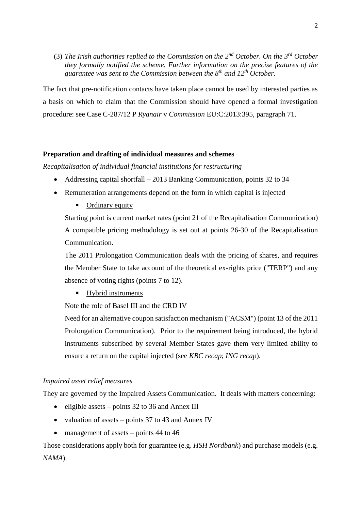(3) *The Irish authorities replied to the Commission on the 2nd October. On the 3rd October they formally notified the scheme. Further information on the precise features of the guarantee was sent to the Commission between the 8th and 12th October.*

The fact that pre-notification contacts have taken place cannot be used by interested parties as a basis on which to claim that the Commission should have opened a formal investigation procedure: see Case C-287/12 P *Ryanair* v *Commission* EU:C:2013:395, paragraph 71.

## **Preparation and drafting of individual measures and schemes**

*Recapitalisation of individual financial institutions for restructuring*

- Addressing capital shortfall 2013 Banking Communication, points 32 to 34
- Remuneration arrangements depend on the form in which capital is injected
	- Ordinary equity

Starting point is current market rates (point 21 of the Recapitalisation Communication) A compatible pricing methodology is set out at points 26-30 of the Recapitalisation Communication.

The 2011 Prolongation Communication deals with the pricing of shares, and requires the Member State to take account of the theoretical ex-rights price ("TERP") and any absence of voting rights (points 7 to 12).

■ Hybrid instruments

Note the role of Basel III and the CRD IV

Need for an alternative coupon satisfaction mechanism ("ACSM") (point 13 of the 2011 Prolongation Communication). Prior to the requirement being introduced, the hybrid instruments subscribed by several Member States gave them very limited ability to ensure a return on the capital injected (see *KBC recap*; *ING recap*).

## *Impaired asset relief measures*

They are governed by the Impaired Assets Communication. It deals with matters concerning:

- eligible assets points  $32$  to  $36$  and Annex III
- valuation of assets points  $37$  to  $43$  and Annex IV
- management of assets points 44 to 46

Those considerations apply both for guarantee (e.g. *HSH Nordbank*) and purchase models (e.g. *NAMA*).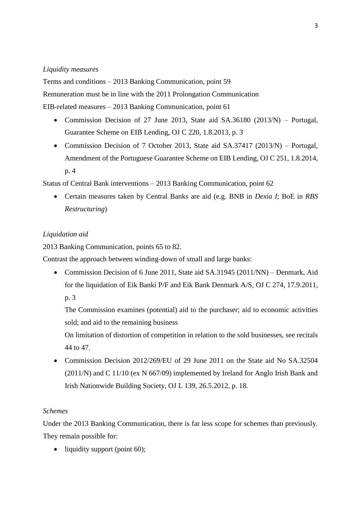# *Liquidity measures*

Terms and conditions – 2013 Banking Communication, point 59

Remuneration must be in line with the 2011 Prolongation Communication

EIB-related measures – 2013 Banking Communication, point 61

- Commission Decision of 27 June 2013, State aid SA.36180 (2013/N) Portugal, Guarantee Scheme on EIB Lending, OJ C 220, 1.8.2013, p. 3
- Commission Decision of 7 October 2013, State aid SA.37417 (2013/N) Portugal, Amendment of the Portuguese Guarantee Scheme on EIB Lending, OJ C 251, 1.8.2014, p. 4

Status of Central Bank interventions – 2013 Banking Communication, point 62

 Certain measures taken by Central Banks are aid (e.g. BNB in *Dexia I*; BoE in *RBS Restructuring*)

# *Liquidation aid*

2013 Banking Communication, points 65 to 82.

Contrast the approach between winding-down of small and large banks:

• Commission Decision of 6 June 2011, State aid SA.31945 (2011/NN) – Denmark, Aid for the liquidation of Eik Banki P/F and Eik Bank Denmark A/S, OJ C 274, 17.9.2011, p. 3

The Commission examines (potential) aid to the purchaser; aid to economic activities sold; and aid to the remaining business

On limitation of distortion of competition in relation to the sold businesses, see recitals 44 to 47.

• Commission Decision 2012/269/EU of 29 June 2011 on the State aid No SA.32504 (2011/N) and C 11/10 (ex N 667/09) implemented by Ireland for Anglo Irish Bank and Irish Nationwide Building Society, OJ L 139, 26.5.2012, p. 18.

# *Schemes*

Under the 2013 Banking Communication, there is far less scope for schemes than previously. They remain possible for:

 $\bullet$  liquidity support (point 60);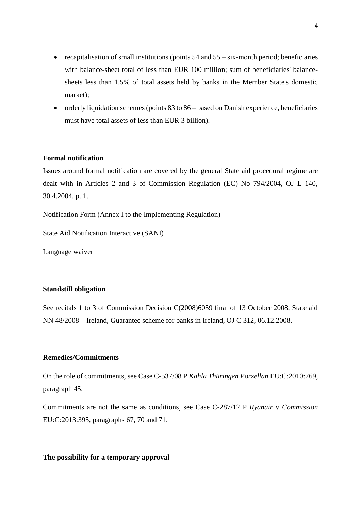- recapitalisation of small institutions (points  $54$  and  $55 six$ -month period; beneficiaries with balance-sheet total of less than EUR 100 million; sum of beneficiaries' balancesheets less than 1.5% of total assets held by banks in the Member State's domestic market);
- orderly liquidation schemes (points 83 to 86 based on Danish experience, beneficiaries must have total assets of less than EUR 3 billion).

# **Formal notification**

Issues around formal notification are covered by the general State aid procedural regime are dealt with in Articles 2 and 3 of Commission Regulation (EC) No 794/2004, OJ L 140, 30.4.2004, p. 1.

Notification Form (Annex I to the Implementing Regulation)

State Aid Notification Interactive (SANI)

Language waiver

## **Standstill obligation**

See recitals 1 to 3 of Commission Decision C(2008)6059 final of 13 October 2008, State aid NN 48/2008 – Ireland, Guarantee scheme for banks in Ireland, OJ C 312, 06.12.2008.

# **Remedies/Commitments**

On the role of commitments, see Case C-537/08 P *Kahla Thüringen Porzellan* EU:C:2010:769, paragraph 45.

Commitments are not the same as conditions, see Case C-287/12 P *Ryanair* v *Commission* EU:C:2013:395, paragraphs 67, 70 and 71.

## **The possibility for a temporary approval**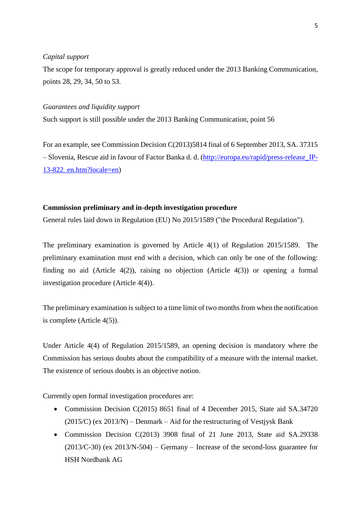## *Capital support*

The scope for temporary approval is greatly reduced under the 2013 Banking Communication, points 28, 29, 34, 50 to 53.

#### *Guarantees and liquidity support*

Such support is still possible under the 2013 Banking Communication, point 56

For an example, see Commission Decision C(2013)5814 final of 6 September 2013, SA. 37315 – Slovenia, Rescue aid in favour of Factor Banka d. d. [\(http://europa.eu/rapid/press-release\\_IP-](http://europa.eu/rapid/press-release_IP-13-822_en.htm?locale=en)[13-822\\_en.htm?locale=en\)](http://europa.eu/rapid/press-release_IP-13-822_en.htm?locale=en)

#### **Commission preliminary and in-depth investigation procedure**

General rules laid down in Regulation (EU) No 2015/1589 ("the Procedural Regulation").

The preliminary examination is governed by Article 4(1) of Regulation 2015/1589. The preliminary examination must end with a decision, which can only be one of the following: finding no aid (Article 4(2)), raising no objection (Article 4(3)) or opening a formal investigation procedure (Article 4(4)).

The preliminary examination is subject to a time limit of two months from when the notification is complete (Article 4(5)).

Under Article 4(4) of Regulation 2015/1589, an opening decision is mandatory where the Commission has serious doubts about the compatibility of a measure with the internal market. The existence of serious doubts is an objective notion.

Currently open formal investigation procedures are:

- Commission Decision C(2015) 8651 final of 4 December 2015, State aid SA.34720  $(2015/C)$  (ex 2013/N) – Denmark – Aid for the restructuring of Vestiysk Bank
- Commission Decision C(2013) 3908 final of 21 June 2013, State aid SA.29338  $(2013/C-30)$  (ex  $2013/N-504$ ) – Germany – Increase of the second-loss guarantee for HSH Nordbank AG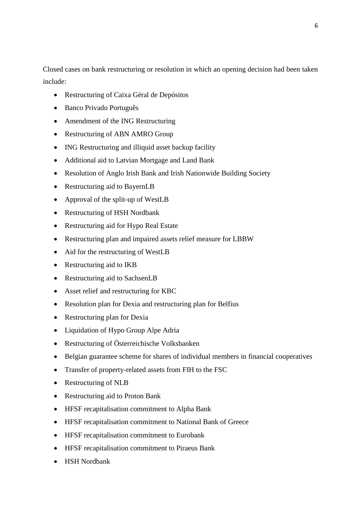Closed cases on bank restructuring or resolution in which an opening decision had been taken include:

- Restructuring of Caixa Géral de Depósitos
- Banco Privado Português
- Amendment of the ING Restructuring
- Restructuring of ABN AMRO Group
- ING Restructuring and illiquid asset backup facility
- Additional aid to Latvian Mortgage and Land Bank
- Resolution of Anglo Irish Bank and Irish Nationwide Building Society
- Restructuring aid to BayernLB
- Approval of the split-up of WestLB
- Restructuring of HSH Nordbank
- Restructuring aid for Hypo Real Estate
- Restructuring plan and impaired assets relief measure for LBBW
- Aid for the restructuring of WestLB
- Restructuring aid to IKB
- Restructuring aid to SachsenLB
- Asset relief and restructuring for KBC
- Resolution plan for Dexia and restructuring plan for Belfius
- Restructuring plan for Dexia
- Liquidation of Hypo Group Alpe Adria
- Restructuring of Österreichische Volksbanken
- Belgian guarantee scheme for shares of individual members in financial cooperatives
- Transfer of property-related assets from FIH to the FSC
- Restructuring of NLB
- Restructuring aid to Proton Bank
- HFSF recapitalisation commitment to Alpha Bank
- HFSF recapitalisation commitment to National Bank of Greece
- HFSF recapitalisation commitment to Eurobank
- HFSF recapitalisation commitment to Piraeus Bank
- HSH Nordbank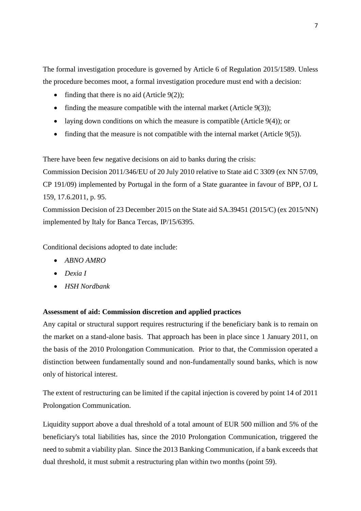The formal investigation procedure is governed by Article 6 of Regulation 2015/1589. Unless the procedure becomes moot, a formal investigation procedure must end with a decision:

- finding that there is no aid (Article  $9(2)$ );
- finding the measure compatible with the internal market (Article  $9(3)$ );
- laying down conditions on which the measure is compatible (Article 9(4)); or
- finding that the measure is not compatible with the internal market (Article  $9(5)$ ).

There have been few negative decisions on aid to banks during the crisis:

Commission Decision 2011/346/EU of 20 July 2010 relative to State aid C 3309 (ex NN 57/09, CP 191/09) implemented by Portugal in the form of a State guarantee in favour of BPP, OJ L 159, 17.6.2011, p. 95.

Commission Decision of 23 December 2015 on the State aid SA.39451 (2015/C) (ex 2015/NN) implemented by Italy for Banca Tercas, IP/15/6395.

Conditional decisions adopted to date include:

- *ABNO AMRO*
- *Dexia I*
- *HSH Nordbank*

# **Assessment of aid: Commission discretion and applied practices**

Any capital or structural support requires restructuring if the beneficiary bank is to remain on the market on a stand-alone basis. That approach has been in place since 1 January 2011, on the basis of the 2010 Prolongation Communication. Prior to that, the Commission operated a distinction between fundamentally sound and non-fundamentally sound banks, which is now only of historical interest.

The extent of restructuring can be limited if the capital injection is covered by point 14 of 2011 Prolongation Communication.

Liquidity support above a dual threshold of a total amount of EUR 500 million and 5% of the beneficiary's total liabilities has, since the 2010 Prolongation Communication, triggered the need to submit a viability plan. Since the 2013 Banking Communication, if a bank exceeds that dual threshold, it must submit a restructuring plan within two months (point 59).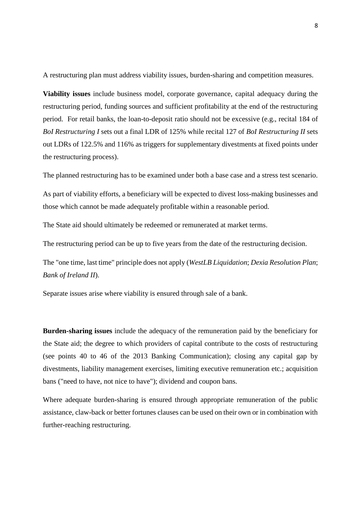A restructuring plan must address viability issues, burden-sharing and competition measures.

**Viability issues** include business model, corporate governance, capital adequacy during the restructuring period, funding sources and sufficient profitability at the end of the restructuring period. For retail banks, the loan-to-deposit ratio should not be excessive (e.g., recital 184 of *BoI Restructuring I* sets out a final LDR of 125% while recital 127 of *BoI Restructuring II* sets out LDRs of 122.5% and 116% as triggers for supplementary divestments at fixed points under the restructuring process).

The planned restructuring has to be examined under both a base case and a stress test scenario.

As part of viability efforts, a beneficiary will be expected to divest loss-making businesses and those which cannot be made adequately profitable within a reasonable period.

The State aid should ultimately be redeemed or remunerated at market terms.

The restructuring period can be up to five years from the date of the restructuring decision.

The "one time, last time" principle does not apply (*WestLB Liquidation*; *Dexia Resolution Plan*; *Bank of Ireland II*).

Separate issues arise where viability is ensured through sale of a bank.

**Burden-sharing issues** include the adequacy of the remuneration paid by the beneficiary for the State aid; the degree to which providers of capital contribute to the costs of restructuring (see points 40 to 46 of the 2013 Banking Communication); closing any capital gap by divestments, liability management exercises, limiting executive remuneration etc.; acquisition bans ("need to have, not nice to have"); dividend and coupon bans.

Where adequate burden-sharing is ensured through appropriate remuneration of the public assistance, claw-back or better fortunes clauses can be used on their own or in combination with further-reaching restructuring.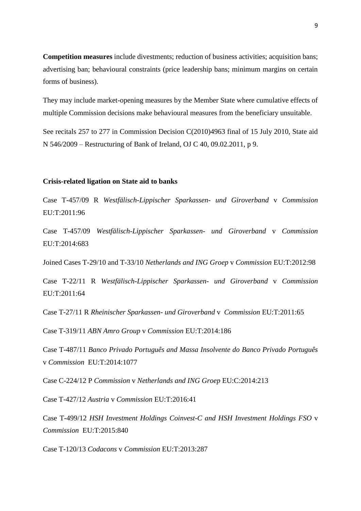**Competition measures** include divestments; reduction of business activities; acquisition bans; advertising ban; behavioural constraints (price leadership bans; minimum margins on certain forms of business).

They may include market-opening measures by the Member State where cumulative effects of multiple Commission decisions make behavioural measures from the beneficiary unsuitable.

See recitals 257 to 277 in Commission Decision C(2010)4963 final of 15 July 2010, State aid N 546/2009 – Restructuring of Bank of Ireland, OJ C 40, 09.02.2011, p 9.

#### **Crisis-related ligation on State aid to banks**

Case T-457/09 R *Westfälisch-Lippischer Sparkassen- und Giroverband* v *Commission* EU:T:2011:96

Case T-457/09 *Westfälisch-Lippischer Sparkassen- und Giroverband* v *Commission* EU:T:2014:683

Joined Cases T-29/10 and T-33/10 *Netherlands and ING Groep* v *Commission* EU:T:2012:98

Case T-22/11 R *Westfälisch-Lippischer Sparkassen- und Giroverband* v *Commission* EU:T:2011:64

Case T-27/11 R *Rheinischer Sparkassen- und Giroverband* v *Commission* EU:T:2011:65

Case T-319/11 *ABN Amro Group* v *Commission* EU:T:2014:186

Case T-487/11 *Banco Privado Português and Massa Insolvente do Banco Privado Português* v *Commission* EU:T:2014:1077

Case C-224/12 P *Commission* v *Netherlands and ING Groep* EU:C:2014:213

Case T-427/12 *Austria* v *Commission* EU:T:2016:41

Case T-499/12 *HSH Investment Holdings Coinvest-C and HSH Investment Holdings FSO* v *Commission* EU:T:2015:840

Case T-120/13 *Codacons* v *Commission* EU:T:2013:287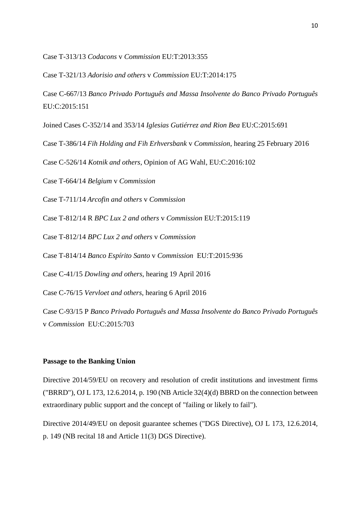Case T-313/13 *Codacons* v *Commission* EU:T:2013:355

Case T-321/13 *Adorisio and others* v *Commission* EU:T:2014:175

Case C-667/13 *Banco Privado Português and Massa Insolvente do Banco Privado Português*  EU:C:2015:151

Joined Cases C-352/14 and 353/14 *Iglesias Gutiérrez and Rion Bea* EU:C:2015:691

Case T-386/14 *Fih Holding and Fih Erhversbank* v *Commission*, hearing 25 February 2016

Case C-526/14 *Kotnik and others*, Opinion of AG Wahl, EU:C:2016:102

Case T-664/14 *Belgium* v *Commission*

Case T-711/14 *Arcofin and others* v *Commission*

Case T-812/14 R *BPC Lux 2 and others* v *Commission* EU:T:2015:119

Case T-812/14 *BPC Lux 2 and others* v *Commission*

Case T-814/14 *Banco Espírito Santo* v *Commission* EU:T:2015:936

Case C-41/15 *Dowling and others*, hearing 19 April 2016

Case C-76/15 *Vervloet and others*, hearing 6 April 2016

Case C-93/15 P *Banco Privado Português and Massa Insolvente do Banco Privado Português*  v *Commission* EU:C:2015:703

## **Passage to the Banking Union**

Directive 2014/59/EU on recovery and resolution of credit institutions and investment firms ("BRRD"), OJ L 173, 12.6.2014, p. 190 (NB Article 32(4)(d) BBRD on the connection between extraordinary public support and the concept of "failing or likely to fail").

Directive 2014/49/EU on deposit guarantee schemes ("DGS Directive), OJ L 173, 12.6.2014, p. 149 (NB recital 18 and Article 11(3) DGS Directive).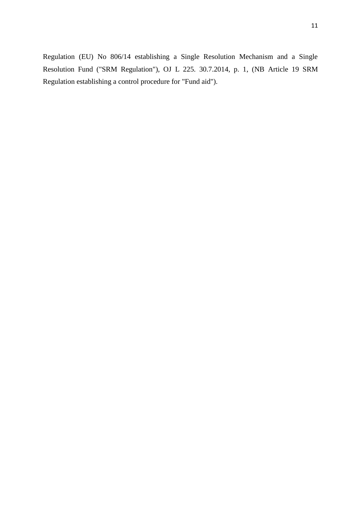Regulation (EU) No 806/14 establishing a Single Resolution Mechanism and a Single Resolution Fund ("SRM Regulation"), OJ L 225. 30.7.2014, p. 1, (NB Article 19 SRM Regulation establishing a control procedure for "Fund aid").